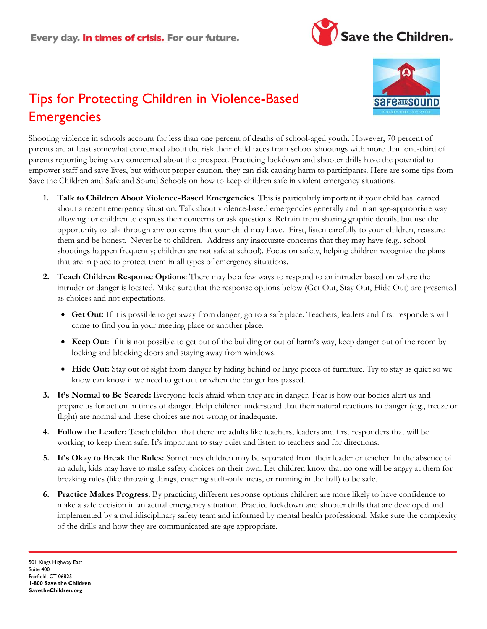



# Tips for Protecting Children in Violence-Based **Emergencies**

Shooting violence in schools account for less than one percent of deaths of school-aged youth. However, 70 percent of parents are at least somewhat concerned about the risk their child faces from school shootings with more than one-third of parents reporting being very concerned about the prospect. Practicing lockdown and shooter drills have the potential to empower staff and save lives, but without proper caution, they can risk causing harm to participants. Here are some tips from Save the Children and Safe and Sound Schools on how to keep children safe in violent emergency situations.

- **1. Talk to Children About Violence-Based Emergencies**. This is particularly important if your child has learned about a recent emergency situation. Talk about violence-based emergencies generally and in an age-appropriate way allowing for children to express their concerns or ask questions. Refrain from sharing graphic details, but use the opportunity to talk through any concerns that your child may have. First, listen carefully to your children, reassure them and be honest. Never lie to children. Address any inaccurate concerns that they may have (e.g., school shootings happen frequently; children are not safe at school). Focus on safety, helping children recognize the plans that are in place to protect them in all types of emergency situations.
- **2. Teach Children Response Options**: There may be a few ways to respond to an intruder based on where the intruder or danger is located. Make sure that the response options below (Get Out, Stay Out, Hide Out) are presented as choices and not expectations.
	- **Get Out:** If it is possible to get away from danger, go to a safe place. Teachers, leaders and first responders will come to find you in your meeting place or another place.
	- **Keep Out**: If it is not possible to get out of the building or out of harm's way, keep danger out of the room by locking and blocking doors and staying away from windows.
	- **Hide Out:** Stay out of sight from danger by hiding behind or large pieces of furniture. Try to stay as quiet so we know can know if we need to get out or when the danger has passed.
- **3. It's Normal to Be Scared:** Everyone feels afraid when they are in danger. Fear is how our bodies alert us and prepare us for action in times of danger. Help children understand that their natural reactions to danger (e.g., freeze or flight) are normal and these choices are not wrong or inadequate.
- **4. Follow the Leader:** Teach children that there are adults like teachers, leaders and first responders that will be working to keep them safe. It's important to stay quiet and listen to teachers and for directions.
- **5. It's Okay to Break the Rules:** Sometimes children may be separated from their leader or teacher. In the absence of an adult, kids may have to make safety choices on their own. Let children know that no one will be angry at them for breaking rules (like throwing things, entering staff-only areas, or running in the hall) to be safe.
- **6. Practice Makes Progress**. By practicing different response options children are more likely to have confidence to make a safe decision in an actual emergency situation. Practice lockdown and shooter drills that are developed and implemented by a multidisciplinary safety team and informed by mental health professional. Make sure the complexity of the drills and how they are communicated are age appropriate.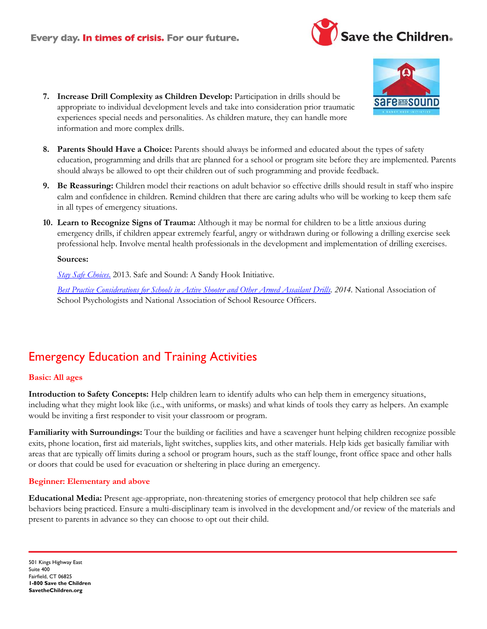### Every day. In times of crisis. For our future.





- **9. Be Reassuring:** Children model their reactions on adult behavior so effective drills should result in staff who inspire calm and confidence in children. Remind children that there are caring adults who will be working to keep them safe in all types of emergency situations.
- **10. Learn to Recognize Signs of Trauma:** Although it may be normal for children to be a little anxious during emergency drills, if children appear extremely fearful, angry or withdrawn during or following a drilling exercise seek professional help. Involve mental health professionals in the development and implementation of drilling exercises.

#### **Sources:**

*[Stay Safe Choices](http://www.safeandsoundschools.org/straight-a-security/)*. 2013. Safe and Sound: A Sandy Hook Initiative.

*[Best Practice Considerations for Schools in Active Shooter and Other Armed Assailant Drills.](http://www.safeandsoundschools.org/wp-content/uploads/2014/12/BP_Armed_Assailant_Drills.pdf) 2014.* National Association of School Psychologists and National Association of School Resource Officers.

# Emergency Education and Training Activities

#### **Basic: All ages**

**Introduction to Safety Concepts:** Help children learn to identify adults who can help them in emergency situations, including what they might look like (i.e., with uniforms, or masks) and what kinds of tools they carry as helpers. An example would be inviting a first responder to visit your classroom or program.

**Familiarity with Surroundings:** Tour the building or facilities and have a scavenger hunt helping children recognize possible exits, phone location, first aid materials, light switches, supplies kits, and other materials. Help kids get basically familiar with areas that are typically off limits during a school or program hours, such as the staff lounge, front office space and other halls or doors that could be used for evacuation or sheltering in place during an emergency.

#### **Beginner: Elementary and above**

**Educational Media:** Present age-appropriate, non-threatening stories of emergency protocol that help children see safe behaviors being practiced. Ensure a multi-disciplinary team is involved in the development and/or review of the materials and present to parents in advance so they can choose to opt out their child.